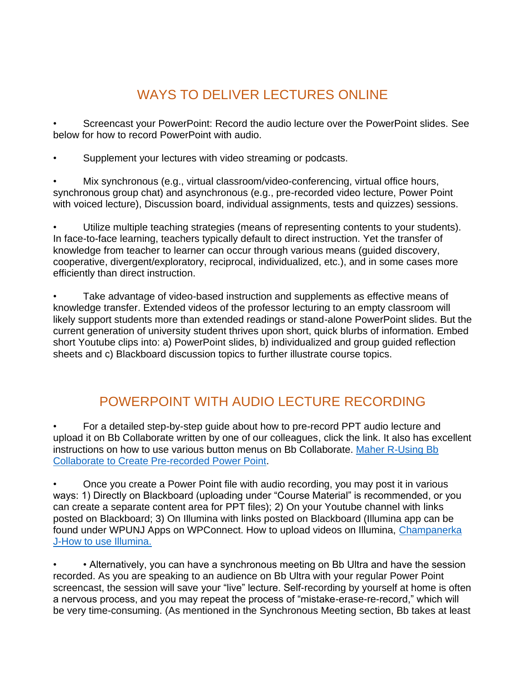## WAYS TO DELIVER LECTURES ONLINE

• Screencast your PowerPoint: Record the audio lecture over the PowerPoint slides. See below for how to record PowerPoint with audio.

Supplement your lectures with video streaming or podcasts.

Mix synchronous (e.g., virtual classroom/video-conferencing, virtual office hours, synchronous group chat) and asynchronous (e.g., pre-recorded video lecture, Power Point with voiced lecture), Discussion board, individual assignments, tests and quizzes) sessions.

• Utilize multiple teaching strategies (means of representing contents to your students). In face-to-face learning, teachers typically default to direct instruction. Yet the transfer of knowledge from teacher to learner can occur through various means (guided discovery, cooperative, divergent/exploratory, reciprocal, individualized, etc.), and in some cases more efficiently than direct instruction.

Take advantage of video-based instruction and supplements as effective means of knowledge transfer. Extended videos of the professor lecturing to an empty classroom will likely support students more than extended readings or stand-alone PowerPoint slides. But the current generation of university student thrives upon short, quick blurbs of information. Embed short Youtube clips into: a) PowerPoint slides, b) individualized and group guided reflection sheets and c) Blackboard discussion topics to further illustrate course topics.

## POWERPOINT WITH AUDIO LECTURE RECORDING

• For a detailed step-by-step guide about how to pre-record PPT audio lecture and upload it on Bb Collaborate written by one of our colleagues, click the link. It also has excellent instructions on how to use various button menus on Bb Collaborate. [Maher R-Using Bb](https://docs.google.com/document/d/14Gm5936zPH6B1FqdGZXr8lA_AwaZS4CF6IrGh4PiW1s/edit)  [Collaborate to Create Pre-recorded Power Point.](https://docs.google.com/document/d/14Gm5936zPH6B1FqdGZXr8lA_AwaZS4CF6IrGh4PiW1s/edit)

• Once you create a Power Point file with audio recording, you may post it in various ways: 1) Directly on Blackboard (uploading under "Course Material" is recommended, or you can create a separate content area for PPT files); 2) On your Youtube channel with links posted on Blackboard; 3) On Illumina with links posted on Blackboard (Illumina app can be found under WPUNJ Apps on WPConnect. How to upload videos on Illumina, [Champanerka](https://docs.google.com/document/d/15c_1SsY4SyOoL3KxVlzVGsYaExhEKk3t5CgJdi8n61c/edit)  [J-How to use Illumina.](https://docs.google.com/document/d/15c_1SsY4SyOoL3KxVlzVGsYaExhEKk3t5CgJdi8n61c/edit)

• Alternatively, you can have a synchronous meeting on Bb Ultra and have the session recorded. As you are speaking to an audience on Bb Ultra with your regular Power Point screencast, the session will save your "live" lecture. Self-recording by yourself at home is often a nervous process, and you may repeat the process of "mistake-erase-re-record," which will be very time-consuming. (As mentioned in the Synchronous Meeting section, Bb takes at least